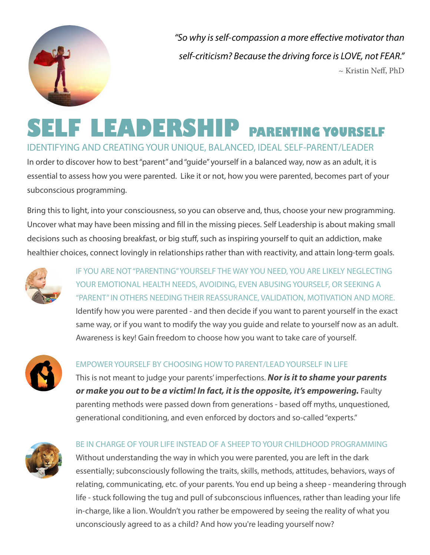

*"So why is self-compassion a more effective motivator than self-criticism? Because the driving force is LOVE, not FEAR."*  $\sim$  Kristin Neff, PhD

# **SELF LEADERSHIP PARENTING YOURSELF** IDENTIFYING AND CREATING YOUR UNIQUE, BALANCED, IDEAL SELF-PARENT/LEADER

In order to discover how to best "parent" and "guide" yourself in a balanced way, now as an adult, it is essential to assess how you were parented. Like it or not, how you were parented, becomes part of your subconscious programming.

Bring this to light, into your consciousness, so you can observe and, thus, choose your new programming. Uncover what may have been missing and fill in the missing pieces. Self Leadership is about making small decisions such as choosing breakfast, or big stuff, such as inspiring yourself to quit an addiction, make healthier choices, connect lovingly in relationships rather than with reactivity, and attain long-term goals.



IF YOU ARE NOT "PARENTING" YOURSELF THE WAY YOU NEED, YOU ARE LIKELY NEGLECTING YOUR EMOTIONAL HEALTH NEEDS, AVOIDING, EVEN ABUSING YOURSELF, OR SEEKING A "PARENT" IN OTHERS NEEDING THEIR REASSURANCE, VALIDATION, MOTIVATION AND MORE. Identify how you were parented - and then decide if you want to parent yourself in the exact same way, or if you want to modify the way you guide and relate to yourself now as an adult. Awareness is key! Gain freedom to choose how you want to take care of yourself.



## EMPOWER YOURSELF BY CHOOSING HOW TO PARENT/LEAD YOURSELF IN LIFE

This is not meant to judge your parents' imperfections. *Nor is it to shame your parents or make you out to be a victim! In fact, it is the opposite, it's empowering.* Faulty parenting methods were passed down from generations - based off myths, unquestioned, generational conditioning, and even enforced by doctors and so-called "experts."



#### BE IN CHARGE OF YOUR LIFE INSTEAD OF A SHEEP TO YOUR CHILDHOOD PROGRAMMING

Without understanding the way in which you were parented, you are left in the dark essentially; subconsciously following the traits, skills, methods, attitudes, behaviors, ways of relating, communicating, etc. of your parents. You end up being a sheep - meandering through life - stuck following the tug and pull of subconscious influences, rather than leading your life in-charge, like a lion. Wouldn't you rather be empowered by seeing the reality of what you unconsciously agreed to as a child? And how you're leading yourself now?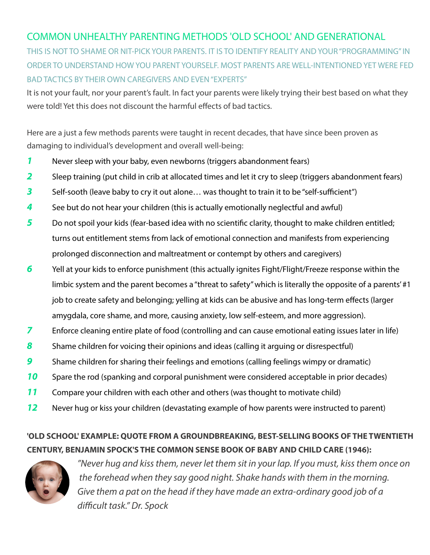# COMMON UNHEALTHY PARENTING METHODS 'OLD SCHOOL' AND GENERATIONAL

THIS IS NOT TO SHAME OR NIT-PICK YOUR PARENTS. IT IS TO IDENTIFY REALITY AND YOUR "PROGRAMMING" IN ORDER TO UNDERSTAND HOW YOU PARENT YOURSELF. MOST PARENTS ARE WELL-INTENTIONED YET WERE FED BAD TACTICS BY THEIR OWN CAREGIVERS AND EVEN "EXPERTS"

It is not your fault, nor your parent's fault. In fact your parents were likely trying their best based on what they were told! Yet this does not discount the harmful effects of bad tactics.

Here are a just a few methods parents were taught in recent decades, that have since been proven as damaging to individual's development and overall well-being:

- *1* Never sleep with your baby, even newborns (triggers abandonment fears)
- 2 Sleep training (put child in crib at allocated times and let it cry to sleep (triggers abandonment fears)
- *3* Self-sooth (leave baby to cry it out alone… was thought to train it to be "self-sufficient")
- *4* See but do not hear your children (this is actually emotionally neglectful and awful)
- **5** Do not spoil your kids (fear-based idea with no scientific clarity, thought to make children entitled; turns out entitlement stems from lack of emotional connection and manifests from experiencing prolonged disconnection and maltreatment or contempt by others and caregivers)
- *6* Yell at your kids to enforce punishment (this actually ignites Fight/Flight/Freeze response within the limbic system and the parent becomes a "threat to safety" which is literally the opposite of a parents' #1 job to create safety and belonging; yelling at kids can be abusive and has long-term effects (larger amygdala, core shame, and more, causing anxiety, low self-esteem, and more aggression).
- **7** Enforce cleaning entire plate of food (controlling and can cause emotional eating issues later in life)
- *8* Shame children for voicing their opinions and ideas (calling it arguing or disrespectful)
- *9* Shame children for sharing their feelings and emotions (calling feelings wimpy or dramatic)
- **10** Spare the rod (spanking and corporal punishment were considered acceptable in prior decades)
- *11* Compare your children with each other and others (was thought to motivate child)
- *12* Never hug or kiss your children (devastating example of how parents were instructed to parent)

# **'OLD SCHOOL' EXAMPLE: QUOTE FROM A GROUNDBREAKING, BEST-SELLING BOOKS OF THE TWENTIETH CENTURY, BENJAMIN SPOCK'S THE COMMON SENSE BOOK OF BABY AND CHILD CARE (1946):**



 *"Never hug and kiss them, never let them sit in your lap. If you must, kiss them once on the forehead when they say good night. Shake hands with them in the morning. Give them a pat on the head if they have made an extra-ordinary good job of a difficult task." Dr. Spock*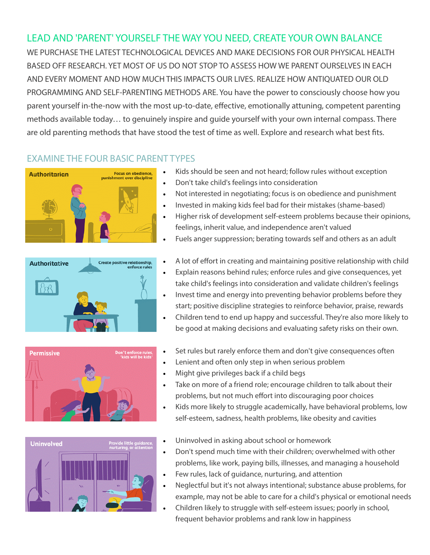# LEAD AND 'PARENT' YOURSELF THE WAY YOU NEED, CREATE YOUR OWN BALANCE

WE PURCHASE THE LATEST TECHNOLOGICAL DEVICES AND MAKE DECISIONS FOR OUR PHYSICAL HEALTH BASED OFF RESEARCH. YET MOST OF US DO NOT STOP TO ASSESS HOW WE PARENT OURSELVES IN EACH AND EVERY MOMENT AND HOW MUCH THIS IMPACTS OUR LIVES. REALIZE HOW ANTIQUATED OUR OLD PROGRAMMING AND SELF-PARENTING METHODS ARE. You have the power to consciously choose how you parent yourself in-the-now with the most up-to-date, effective, emotionally attuning, competent parenting methods available today… to genuinely inspire and guide yourself with your own internal compass. There are old parenting methods that have stood the test of time as well. Explore and research what best fits.

### EXAMINE THE FOUR BASIC PARENT TYPES









- Kids should be seen and not heard; follow rules without exception
- Don't take child's feelings into consideration
- Not interested in negotiating; focus is on obedience and punishment
- Invested in making kids feel bad for their mistakes (shame-based)
- Higher risk of development self-esteem problems because their opinions, feelings, inherit value, and independence aren't valued
- Fuels anger suppression; berating towards self and others as an adult
- A lot of effort in creating and maintaining positive relationship with child
- Explain reasons behind rules; enforce rules and give consequences, yet take child's feelings into consideration and validate children's feelings
- Invest time and energy into preventing behavior problems before they start; positive discipline strategies to reinforce behavior, praise, rewards
- Children tend to end up happy and successful. They're also more likely to be good at making decisions and evaluating safety risks on their own.
- Set rules but rarely enforce them and don't give consequences often
- Lenient and often only step in when serious problem
- Might give privileges back if a child begs
- Take on more of a friend role; encourage children to talk about their problems, but not much effort into discouraging poor choices
- Kids more likely to struggle academically, have behavioral problems, low self-esteem, sadness, health problems, like obesity and cavities
- Uninvolved in asking about school or homework
- Don't spend much time with their children; overwhelmed with other problems, like work, paying bills, illnesses, and managing a household
- Few rules, lack of guidance, nurturing, and attention
- Neglectful but it's not always intentional; substance abuse problems, for example, may not be able to care for a child's physical or emotional needs
- Children likely to struggle with self-esteem issues; poorly in school, frequent behavior problems and rank low in happiness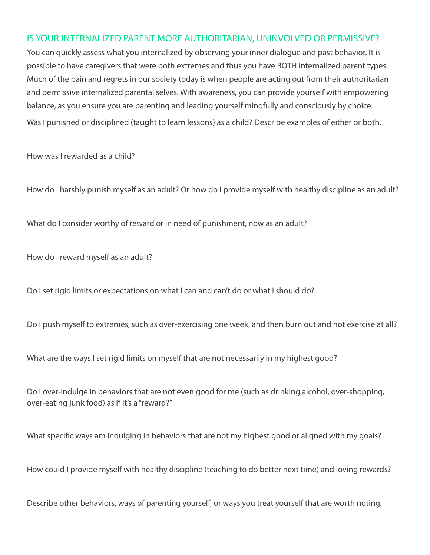#### IS YOUR INTERNALIZED PARENT MORE AUTHORITARIAN, UNINVOLVED OR PERMISSIVE?

You can quickly assess what you internalized by observing your inner dialogue and past behavior. It is possible to have caregivers that were both extremes and thus you have BOTH internalized parent types. Much of the pain and regrets in our society today is when people are acting out from their authoritarian and permissive internalized parental selves. With awareness, you can provide yourself with empowering balance, as you ensure you are parenting and leading yourself mindfully and consciously by choice. Was I punished or disciplined (taught to learn lessons) as a child? Describe examples of either or both.

How was I rewarded as a child?

How do I harshly punish myself as an adult? Or how do I provide myself with healthy discipline as an adult?

What do I consider worthy of reward or in need of punishment, now as an adult?

How do I reward myself as an adult?

Do I set rigid limits or expectations on what I can and can't do or what I should do?

Do I push myself to extremes, such as over-exercising one week, and then burn out and not exercise at all?

What are the ways I set rigid limits on myself that are not necessarily in my highest good?

Do I over-indulge in behaviors that are not even good for me (such as drinking alcohol, over-shopping, over-eating junk food) as if it's a "reward?"

What specific ways am indulging in behaviors that are not my highest good or aligned with my goals?

How could I provide myself with healthy discipline (teaching to do better next time) and loving rewards?

Describe other behaviors, ways of parenting yourself, or ways you treat yourself that are worth noting.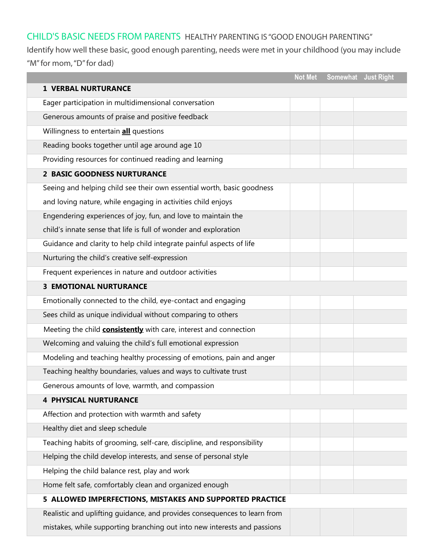# CHILD'S BASIC NEEDS FROM PARENTS CHILD'S BASIC NEEDS FROM PARENTS HEALTHY PARENTING IS "GOOD ENOUGH PARENTING"

Identify how well these basic, good enough parenting, needs were met in your childhood (you may include "M" for mom, "D" for dad)  $\,$ 

|                                                                           | <b>Not Met</b> |  | Somewhat Just Right |  |  |
|---------------------------------------------------------------------------|----------------|--|---------------------|--|--|
| <b>1 VERBAL NURTURANCE</b>                                                |                |  |                     |  |  |
| Eager participation in multidimensional conversation                      |                |  |                     |  |  |
| Generous amounts of praise and positive feedback                          |                |  |                     |  |  |
| Willingness to entertain all questions                                    |                |  |                     |  |  |
| Reading books together until age around age 10                            |                |  |                     |  |  |
| Providing resources for continued reading and learning                    |                |  |                     |  |  |
| 2 BASIC GOODNESS NURTURANCE                                               |                |  |                     |  |  |
| Seeing and helping child see their own essential worth, basic goodness    |                |  |                     |  |  |
| and loving nature, while engaging in activities child enjoys              |                |  |                     |  |  |
| Engendering experiences of joy, fun, and love to maintain the             |                |  |                     |  |  |
| child's innate sense that life is full of wonder and exploration          |                |  |                     |  |  |
| Guidance and clarity to help child integrate painful aspects of life      |                |  |                     |  |  |
| Nurturing the child's creative self-expression                            |                |  |                     |  |  |
| Frequent experiences in nature and outdoor activities                     |                |  |                     |  |  |
| <b>3 EMOTIONAL NURTURANCE</b>                                             |                |  |                     |  |  |
| Emotionally connected to the child, eye-contact and engaging              |                |  |                     |  |  |
| Sees child as unique individual without comparing to others               |                |  |                     |  |  |
| Meeting the child <b>consistently</b> with care, interest and connection  |                |  |                     |  |  |
| Welcoming and valuing the child's full emotional expression               |                |  |                     |  |  |
| Modeling and teaching healthy processing of emotions, pain and anger      |                |  |                     |  |  |
| Teaching healthy boundaries, values and ways to cultivate trust           |                |  |                     |  |  |
| Generous amounts of love, warmth, and compassion                          |                |  |                     |  |  |
| <b>4 PHYSICAL NURTURANCE</b>                                              |                |  |                     |  |  |
| Affection and protection with warmth and safety                           |                |  |                     |  |  |
| Healthy diet and sleep schedule                                           |                |  |                     |  |  |
| Teaching habits of grooming, self-care, discipline, and responsibility    |                |  |                     |  |  |
| Helping the child develop interests, and sense of personal style          |                |  |                     |  |  |
| Helping the child balance rest, play and work                             |                |  |                     |  |  |
| Home felt safe, comfortably clean and organized enough                    |                |  |                     |  |  |
| 5 ALLOWED IMPERFECTIONS, MISTAKES AND SUPPORTED PRACTICE                  |                |  |                     |  |  |
| Realistic and uplifting quidance, and provides consequences to learn from |                |  |                     |  |  |
| mistakes, while supporting branching out into new interests and passions  |                |  |                     |  |  |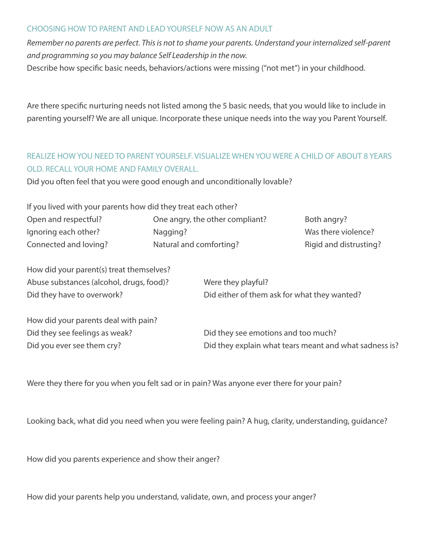#### CHOOSING HOW TO PARENT AND LEAD YOURSELF NOW AS AN ADULT

*Remember no parents are perfect. This is not to shame your parents. Understand your internalized self-parent and programming so you may balance Self Leadership in the now.*

Describe how specific basic needs, behaviors/actions were missing ("not met") in your childhood.

Are there specific nurturing needs not listed among the 5 basic needs, that you would like to include in parenting yourself? We are all unique. Incorporate these unique needs into the way you Parent Yourself.

### REALIZE HOW YOU NEED TO PARENT YOURSELF. VISUALIZE WHEN YOU WERE A CHILD OF ABOUT 8 YEARS OLD. RECALL YOUR HOME AND FAMILY OVERALL.

Did you often feel that you were good enough and unconditionally lovable?

If you lived with your parents how did they treat each other?

| Open and respectful?  | One angry, the other compliant? | Both angry?            |
|-----------------------|---------------------------------|------------------------|
| Ignoring each other?  | Nagging?                        | Was there violence?    |
| Connected and loving? | Natural and comforting?         | Rigid and distrusting? |

How did your parent(s) treat themselves? Abuse substances (alcohol, drugs, food)? Were they playful? Did they have to overwork? Did either of them ask for what they wanted?

How did your parents deal with pain? Did they see feelings as weak? Did they see emotions and too much? Did you ever see them cry? Did they explain what tears meant and what sadness is?

Were they there for you when you felt sad or in pain? Was anyone ever there for your pain?

Looking back, what did you need when you were feeling pain? A hug, clarity, understanding, guidance?

How did you parents experience and show their anger?

How did your parents help you understand, validate, own, and process your anger?